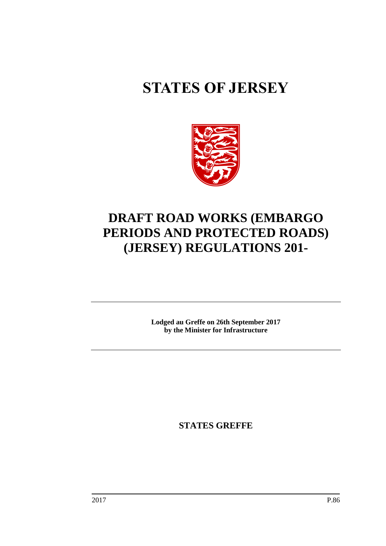# **STATES OF JERSEY**



## **DRAFT ROAD WORKS (EMBARGO PERIODS AND PROTECTED ROADS) (JERSEY) REGULATIONS 201-**

**Lodged au Greffe on 26th September 2017 by the Minister for Infrastructure**

**STATES GREFFE**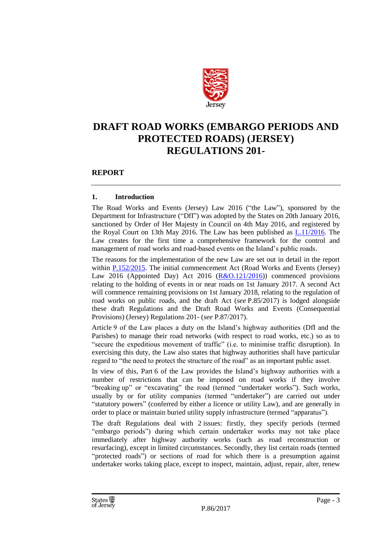

## **DRAFT ROAD WORKS (EMBARGO PERIODS AND PROTECTED ROADS) (JERSEY) REGULATIONS 201-**

#### **REPORT**

#### **1. Introduction**

The Road Works and Events (Jersey) Law 2016 ("the Law"), sponsored by the Department for Infrastructure ("DfI") was adopted by the States on 20th January 2016, sanctioned by Order of Her Majesty in Council on 4th May 2016, and registered by the Royal Court on 13th May 2016. The Law has been published as [L.11/2016.](https://www.jerseylaw.je/laws/enacted/Pages/L-11-2016.aspx) The Law creates for the first time a comprehensive framework for the control and management of road works and road-based events on the Island's public roads.

The reasons for the implementation of the new Law are set out in detail in the report within [P.152/2015.](http://www.statesassembly.gov.je/assemblypropositions/2015/p.152-2015.pdf) The initial commencement Act (Road Works and Events (Jersey) Law 2016 (Appointed Day) Act 2016  $(R & 0.121/2016)$  commenced provisions relating to the holding of events in or near roads on 1st January 2017. A second Act will commence remaining provisions on 1st January 2018, relating to the regulation of road works on public roads, and the draft Act (*see* P.85/2017) is lodged alongside these draft Regulations and the Draft Road Works and Events (Consequential Provisions) (Jersey) Regulations 201- (*see* P.87/2017).

Article 9 of the Law places a duty on the Island's highway authorities (DfI and the Parishes) to manage their road networks (with respect to road works, etc.) so as to "secure the expeditious movement of traffic" (i.e. to minimise traffic disruption). In exercising this duty, the Law also states that highway authorities shall have particular regard to "the need to protect the structure of the road" as an important public asset.

In view of this, Part 6 of the Law provides the Island's highway authorities with a number of restrictions that can be imposed on road works if they involve "breaking up" or "excavating" the road (termed "undertaker works"). Such works, usually by or for utility companies (termed "undertaker") are carried out under "statutory powers" (conferred by either a licence or utility Law), and are generally in order to place or maintain buried utility supply infrastructure (termed "apparatus").

The draft Regulations deal with 2 issues: firstly, they specify periods (termed "embargo periods") during which certain undertaker works may not take place immediately after highway authority works (such as road reconstruction or resurfacing), except in limited circumstances. Secondly, they list certain roads (termed "protected roads") or sections of road for which there is a presumption against undertaker works taking place, except to inspect, maintain, adjust, repair, alter, renew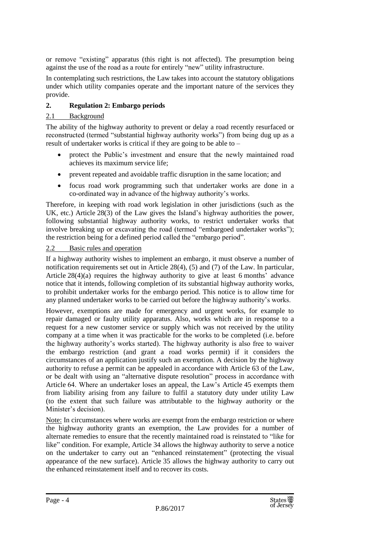or remove "existing" apparatus (this right is not affected). The presumption being against the use of the road as a route for entirely "new" utility infrastructure.

In contemplating such restrictions, the Law takes into account the statutory obligations under which utility companies operate and the important nature of the services they provide.

#### **2. Regulation 2: Embargo periods**

#### 2.1 Background

The ability of the highway authority to prevent or delay a road recently resurfaced or reconstructed (termed "substantial highway authority works") from being dug up as a result of undertaker works is critical if they are going to be able to –

- protect the Public's investment and ensure that the newly maintained road achieves its maximum service life;
- prevent repeated and avoidable traffic disruption in the same location; and
- focus road work programming such that undertaker works are done in a co-ordinated way in advance of the highway authority's works.

Therefore, in keeping with road work legislation in other jurisdictions (such as the UK, etc.) Article 28(3) of the Law gives the Island's highway authorities the power, following substantial highway authority works, to restrict undertaker works that involve breaking up or excavating the road (termed "embargoed undertaker works"); the restriction being for a defined period called the "embargo period".

#### 2.2 Basic rules and operation

If a highway authority wishes to implement an embargo, it must observe a number of notification requirements set out in Article 28(4), (5) and (7) of the Law. In particular, Article 28(4)(a) requires the highway authority to give at least 6 months' advance notice that it intends, following completion of its substantial highway authority works, to prohibit undertaker works for the embargo period. This notice is to allow time for any planned undertaker works to be carried out before the highway authority's works.

However, exemptions are made for emergency and urgent works, for example to repair damaged or faulty utility apparatus. Also, works which are in response to a request for a new customer service or supply which was not received by the utility company at a time when it was practicable for the works to be completed (i.e. before the highway authority's works started). The highway authority is also free to waiver the embargo restriction (and grant a road works permit) if it considers the circumstances of an application justify such an exemption. A decision by the highway authority to refuse a permit can be appealed in accordance with Article 63 of the Law, or be dealt with using an "alternative dispute resolution" process in accordance with Article 64. Where an undertaker loses an appeal, the Law's Article 45 exempts them from liability arising from any failure to fulfil a statutory duty under utility Law (to the extent that such failure was attributable to the highway authority or the Minister's decision).

Note: In circumstances where works are exempt from the embargo restriction or where the highway authority grants an exemption, the Law provides for a number of alternate remedies to ensure that the recently maintained road is reinstated to "like for like" condition. For example, Article 34 allows the highway authority to serve a notice on the undertaker to carry out an "enhanced reinstatement" (protecting the visual appearance of the new surface). Article 35 allows the highway authority to carry out the enhanced reinstatement itself and to recover its costs.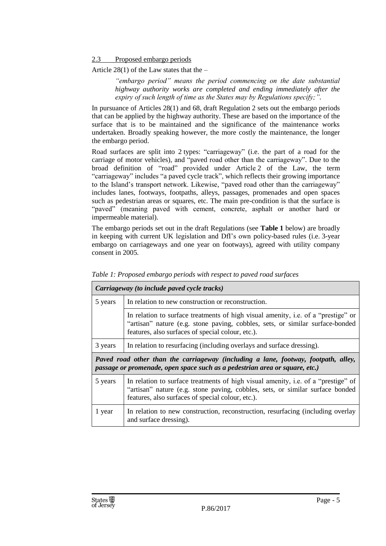2.3 Proposed embargo periods

Article  $28(1)$  of the Law states that the –

*"embargo period" means the period commencing on the date substantial highway authority works are completed and ending immediately after the expiry of such length of time as the States may by Regulations specify;".*

In pursuance of Articles 28(1) and 68, draft Regulation 2 sets out the embargo periods that can be applied by the highway authority. These are based on the importance of the surface that is to be maintained and the significance of the maintenance works undertaken. Broadly speaking however, the more costly the maintenance, the longer the embargo period.

Road surfaces are split into 2 types: "carriageway" (i.e. the part of a road for the carriage of motor vehicles), and "paved road other than the carriageway". Due to the broad definition of "road" provided under Article 2 of the Law, the term "carriageway" includes "a paved cycle track", which reflects their growing importance to the Island's transport network. Likewise, "paved road other than the carriageway" includes lanes, footways, footpaths, alleys, passages, promenades and open spaces such as pedestrian areas or squares, etc. The main pre-condition is that the surface is "paved" (meaning paved with cement, concrete, asphalt or another hard or impermeable material).

The embargo periods set out in the draft Regulations (see **Table 1** below) are broadly in keeping with current UK legislation and DfI's own policy-based rules (i.e. 3-year embargo on carriageways and one year on footways), agreed with utility company consent in 2005.

| Carriageway (to include paved cycle tracks)                                                                                                                       |                                                                                                                                                                                                                         |  |  |  |
|-------------------------------------------------------------------------------------------------------------------------------------------------------------------|-------------------------------------------------------------------------------------------------------------------------------------------------------------------------------------------------------------------------|--|--|--|
| 5 years                                                                                                                                                           | In relation to new construction or reconstruction.                                                                                                                                                                      |  |  |  |
|                                                                                                                                                                   | In relation to surface treatments of high visual amenity, i.e. of a "prestige" or<br>"artisan" nature (e.g. stone paving, cobbles, sets, or similar surface-bonded<br>features, also surfaces of special colour, etc.). |  |  |  |
| 3 years                                                                                                                                                           | In relation to resurfacing (including overlays and surface dressing).                                                                                                                                                   |  |  |  |
| Paved road other than the carriageway (including a lane, footway, footpath, alley,<br>passage or promenade, open space such as a pedestrian area or square, etc.) |                                                                                                                                                                                                                         |  |  |  |
| 5 years                                                                                                                                                           | In relation to surface treatments of high visual amenity, i.e. of a "prestige" of<br>"artisan" nature (e.g. stone paving, cobbles, sets, or similar surface bonded                                                      |  |  |  |
|                                                                                                                                                                   | features, also surfaces of special colour, etc.).                                                                                                                                                                       |  |  |  |

*Table 1: Proposed embargo periods with respect to paved road surfaces*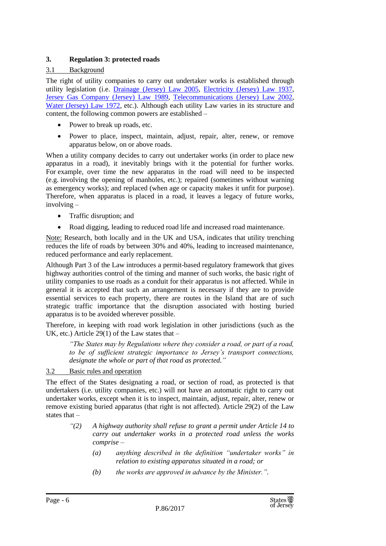#### **3. Regulation 3: protected roads**

#### 3.1 Background

The right of utility companies to carry out undertaker works is established through utility legislation (i.e. [Drainage \(Jersey\) Law 2005,](https://www.jerseylaw.je/laws/revised/Pages/22.080.aspx) [Electricity \(Jersey\) Law 1937,](https://www.jerseylaw.je/laws/revised/Pages/27.100.aspx) [Jersey Gas Company \(Jersey\) Law 1989,](https://www.jerseylaw.je/laws/revised/Pages/27.300.aspx) [Telecommunications \(Jersey\) Law 2002,](https://www.jerseylaw.je/laws/revised/Pages/06.288.aspx) [Water \(Jersey\) Law 1972,](https://www.jerseylaw.je/laws/revised/Pages/27.700.aspx) etc.). Although each utility Law varies in its structure and content, the following common powers are established –

- Power to break up roads, etc.
- Power to place, inspect, maintain, adjust, repair, alter, renew, or remove apparatus below, on or above roads.

When a utility company decides to carry out undertaker works (in order to place new apparatus in a road), it inevitably brings with it the potential for further works. For example, over time the new apparatus in the road will need to be inspected (e.g. involving the opening of manholes, etc.); repaired (sometimes without warning as emergency works); and replaced (when age or capacity makes it unfit for purpose). Therefore, when apparatus is placed in a road, it leaves a legacy of future works, involving –

- Traffic disruption; and
- Road digging, leading to reduced road life and increased road maintenance.

Note: Research, both locally and in the UK and USA, indicates that utility trenching reduces the life of roads by between 30% and 40%, leading to increased maintenance, reduced performance and early replacement.

Although Part 3 of the Law introduces a permit-based regulatory framework that gives highway authorities control of the timing and manner of such works, the basic right of utility companies to use roads as a conduit for their apparatus is not affected. While in general it is accepted that such an arrangement is necessary if they are to provide essential services to each property, there are routes in the Island that are of such strategic traffic importance that the disruption associated with hosting buried apparatus is to be avoided wherever possible.

Therefore, in keeping with road work legislation in other jurisdictions (such as the UK, etc.) Article 29(1) of the Law states that  $-$ 

*"The States may by Regulations where they consider a road, or part of a road, to be of sufficient strategic importance to Jersey's transport connections, designate the whole or part of that road as protected."*

#### 3.2 Basic rules and operation

The effect of the States designating a road, or section of road, as protected is that undertakers (i.e. utility companies, etc.) will not have an automatic right to carry out undertaker works, except when it is to inspect, maintain, adjust, repair, alter, renew or remove existing buried apparatus (that right is not affected). Article 29(2) of the Law states that –

- *"(2) A highway authority shall refuse to grant a permit under Article 14 to carry out undertaker works in a protected road unless the works comprise –*
	- *(a) anything described in the definition "undertaker works" in relation to existing apparatus situated in a road; or*
	- *(b) the works are approved in advance by the Minister.".*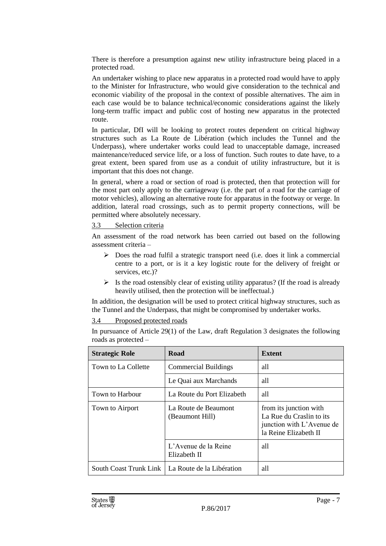There is therefore a presumption against new utility infrastructure being placed in a protected road.

An undertaker wishing to place new apparatus in a protected road would have to apply to the Minister for Infrastructure, who would give consideration to the technical and economic viability of the proposal in the context of possible alternatives. The aim in each case would be to balance technical/economic considerations against the likely long-term traffic impact and public cost of hosting new apparatus in the protected route.

In particular, DfI will be looking to protect routes dependent on critical highway structures such as La Route de Libération (which includes the Tunnel and the Underpass), where undertaker works could lead to unacceptable damage, increased maintenance/reduced service life, or a loss of function. Such routes to date have, to a great extent, been spared from use as a conduit of utility infrastructure, but it is important that this does not change.

In general, where a road or section of road is protected, then that protection will for the most part only apply to the carriageway (i.e. the part of a road for the carriage of motor vehicles), allowing an alternative route for apparatus in the footway or verge. In addition, lateral road crossings, such as to permit property connections, will be permitted where absolutely necessary.

#### 3.3 Selection criteria

An assessment of the road network has been carried out based on the following assessment criteria –

- $\triangleright$  Does the road fulfil a strategic transport need (i.e. does it link a commercial centre to a port, or is it a key logistic route for the delivery of freight or services, etc.)?
- $\triangleright$  Is the road ostensibly clear of existing utility apparatus? (If the road is already heavily utilised, then the protection will be ineffectual.)

In addition, the designation will be used to protect critical highway structures, such as the Tunnel and the Underpass, that might be compromised by undertaker works.

3.4 Proposed protected roads

In pursuance of Article 29(1) of the Law, draft Regulation 3 designates the following roads as protected –

| <b>Strategic Role</b>  | Road                                    | <b>Extent</b>                                                                                            |
|------------------------|-----------------------------------------|----------------------------------------------------------------------------------------------------------|
| Town to La Collette    | <b>Commercial Buildings</b>             | all                                                                                                      |
|                        | Le Quai aux Marchands                   | all                                                                                                      |
| Town to Harbour        | La Route du Port Elizabeth              | all                                                                                                      |
| Town to Airport        | La Route de Beaumont<br>(Beaumont Hill) | from its junction with<br>La Rue du Craslin to its<br>junction with L'Avenue de<br>la Reine Elizabeth II |
|                        | L'Avenue de la Reine<br>Elizabeth II    | all                                                                                                      |
| South Coast Trunk Link | La Route de la Libération               | all                                                                                                      |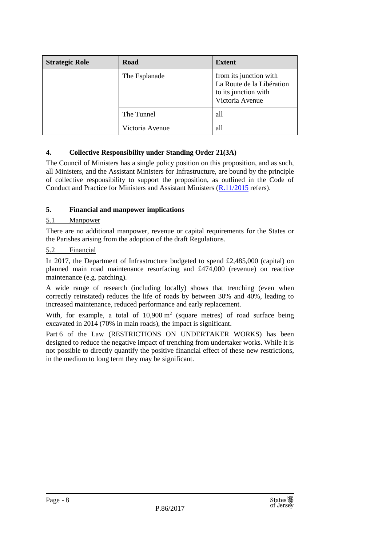| <b>Strategic Role</b> | Road            | <b>Extent</b>                                                                                  |
|-----------------------|-----------------|------------------------------------------------------------------------------------------------|
|                       | The Esplanade   | from its junction with<br>La Route de la Libération<br>to its junction with<br>Victoria Avenue |
|                       | The Tunnel      | all                                                                                            |
|                       | Victoria Avenue | all                                                                                            |

#### **4. Collective Responsibility under Standing Order 21(3A)**

The Council of Ministers has a single policy position on this proposition, and as such, all Ministers, and the Assistant Ministers for Infrastructure, are bound by the principle of collective responsibility to support the proposition, as outlined in the Code of Conduct and Practice for Ministers and Assistant Ministers [\(R.11/2015](http://www.statesassembly.gov.je/AssemblyReports/2015/R.11-2015.pdf) refers).

#### **5. Financial and manpower implications**

#### 5.1 Manpower

There are no additional manpower, revenue or capital requirements for the States or the Parishes arising from the adoption of the draft Regulations.

#### 5.2 Financial

In 2017, the Department of Infrastructure budgeted to spend £2,485,000 (capital) on planned main road maintenance resurfacing and £474,000 (revenue) on reactive maintenance (e.g. patching).

A wide range of research (including locally) shows that trenching (even when correctly reinstated) reduces the life of roads by between 30% and 40%, leading to increased maintenance, reduced performance and early replacement.

With, for example, a total of  $10,900 \text{ m}^2$  (square metres) of road surface being excavated in 2014 (70% in main roads), the impact is significant.

Part 6 of the Law (RESTRICTIONS ON UNDERTAKER WORKS) has been designed to reduce the negative impact of trenching from undertaker works. While it is not possible to directly quantify the positive financial effect of these new restrictions, in the medium to long term they may be significant.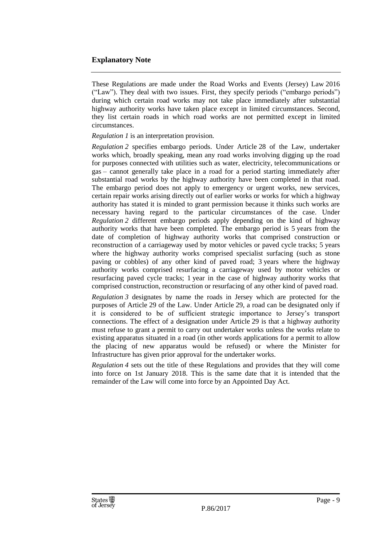#### **Explanatory Note**

These Regulations are made under the Road Works and Events (Jersey) Law 2016 ("Law"). They deal with two issues. First, they specify periods ("embargo periods") during which certain road works may not take place immediately after substantial highway authority works have taken place except in limited circumstances. Second, they list certain roads in which road works are not permitted except in limited circumstances.

#### *Regulation 1* is an interpretation provision.

*Regulation 2* specifies embargo periods. Under Article 28 of the Law, undertaker works which, broadly speaking, mean any road works involving digging up the road for purposes connected with utilities such as water, electricity, telecommunications or gas – cannot generally take place in a road for a period starting immediately after substantial road works by the highway authority have been completed in that road. The embargo period does not apply to emergency or urgent works, new services, certain repair works arising directly out of earlier works or works for which a highway authority has stated it is minded to grant permission because it thinks such works are necessary having regard to the particular circumstances of the case. Under *Regulation 2* different embargo periods apply depending on the kind of highway authority works that have been completed. The embargo period is 5 years from the date of completion of highway authority works that comprised construction or reconstruction of a carriageway used by motor vehicles or paved cycle tracks; 5 years where the highway authority works comprised specialist surfacing (such as stone paving or cobbles) of any other kind of paved road; 3 years where the highway authority works comprised resurfacing a carriageway used by motor vehicles or resurfacing paved cycle tracks; 1 year in the case of highway authority works that comprised construction, reconstruction or resurfacing of any other kind of paved road.

*Regulation 3* designates by name the roads in Jersey which are protected for the purposes of Article 29 of the Law. Under Article 29, a road can be designated only if it is considered to be of sufficient strategic importance to Jersey's transport connections. The effect of a designation under Article 29 is that a highway authority must refuse to grant a permit to carry out undertaker works unless the works relate to existing apparatus situated in a road (in other words applications for a permit to allow the placing of new apparatus would be refused) or where the Minister for Infrastructure has given prior approval for the undertaker works.

*Regulation 4* sets out the title of these Regulations and provides that they will come into force on 1st January 2018. This is the same date that it is intended that the remainder of the Law will come into force by an Appointed Day Act.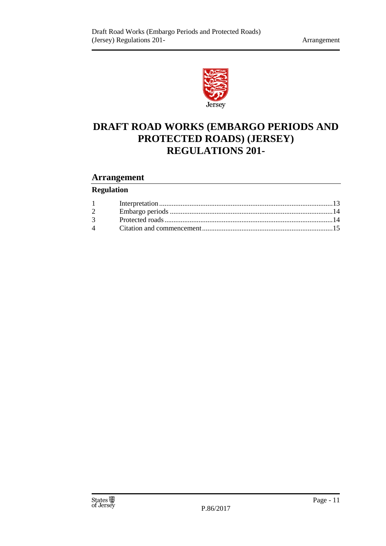

## **DRAFT ROAD WORKS (EMBARGO PERIODS AND PROTECTED ROADS) (JERSEY) REGULATIONS 201-**

#### **Arrangement**

#### **Regulation**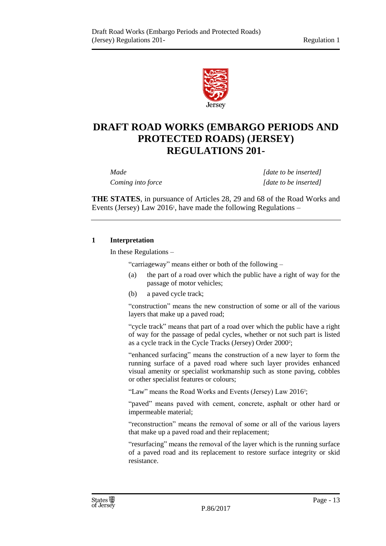

## **DRAFT ROAD WORKS (EMBARGO PERIODS AND PROTECTED ROADS) (JERSEY) REGULATIONS 201-**

*Made [date to be inserted] Coming into force [date to be inserted]*

**THE STATES**, in pursuance of Articles 28, 29 and 68 of the Road Works and Events (Jersey) Law 2016<sup>1</sup> , have made the following Regulations –

#### <span id="page-12-0"></span>**1 Interpretation**

In these Regulations –

"carriageway" means either or both of the following –

- (a) the part of a road over which the public have a right of way for the passage of motor vehicles;
- (b) a paved cycle track;

"construction" means the new construction of some or all of the various layers that make up a paved road;

"cycle track" means that part of a road over which the public have a right of way for the passage of pedal cycles, whether or not such part is listed as a cycle track in the Cycle Tracks (Jersey) Order 2000<sup>2</sup>;

"enhanced surfacing" means the construction of a new layer to form the running surface of a paved road where such layer provides enhanced visual amenity or specialist workmanship such as stone paving, cobbles or other specialist features or colours;

"Law" means the Road Works and Events (Jersey) Law 2016<sup>3</sup>;

"paved" means paved with cement, concrete, asphalt or other hard or impermeable material;

"reconstruction" means the removal of some or all of the various layers that make up a paved road and their replacement;

"resurfacing" means the removal of the layer which is the running surface of a paved road and its replacement to restore surface integrity or skid resistance.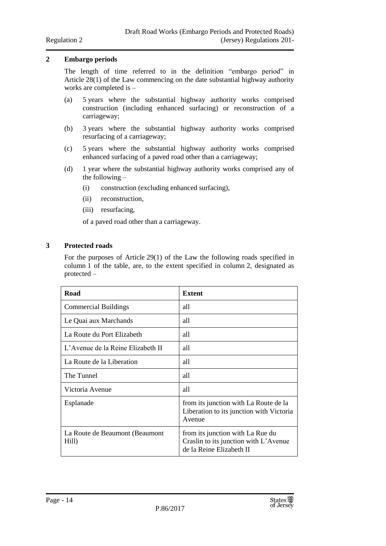#### <span id="page-13-0"></span>**2 Embargo periods**

The length of time referred to in the definition "embargo period" in Article 28(1) of the Law commencing on the date substantial highway authority works are completed is –

- (a) 5 years where the substantial highway authority works comprised construction (including enhanced surfacing) or reconstruction of a carriageway;
- (b) 3 years where the substantial highway authority works comprised resurfacing of a carriageway;
- (c) 5 years where the substantial highway authority works comprised enhanced surfacing of a paved road other than a carriageway;
- (d) 1 year where the substantial highway authority works comprised any of the following –
	- (i) construction (excluding enhanced surfacing),
	- (ii) reconstruction,
	- (iii) resurfacing,

of a paved road other than a carriageway.

#### <span id="page-13-1"></span>**3 Protected roads**

For the purposes of Article 29(1) of the Law the following roads specified in column 1 of the table, are, to the extent specified in column 2, designated as protected –

| Road                                    | <b>Extent</b>                                                                                         |
|-----------------------------------------|-------------------------------------------------------------------------------------------------------|
| <b>Commercial Buildings</b>             | all                                                                                                   |
| Le Quai aux Marchands                   | all                                                                                                   |
| La Route du Port Elizabeth              | all                                                                                                   |
| L'Avenue de la Reine Elizabeth II       | all                                                                                                   |
| La Route de la Liberation               | all                                                                                                   |
| The Tunnel                              | all                                                                                                   |
| Victoria Avenue                         | all                                                                                                   |
| Esplanade                               | from its junction with La Route de la<br>Liberation to its junction with Victoria<br>Avenue           |
| La Route de Beaumont (Beaumont<br>Hill) | from its junction with La Rue du<br>Craslin to its junction with L'Avenue<br>de la Reine Elizabeth II |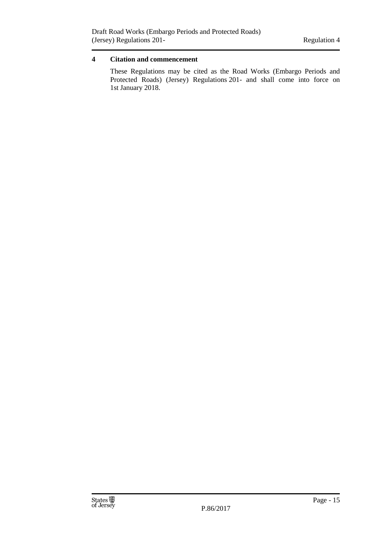#### <span id="page-14-0"></span>**4 Citation and commencement**

These Regulations may be cited as the Road Works (Embargo Periods and Protected Roads) (Jersey) Regulations 201- and shall come into force on 1st January 2018.